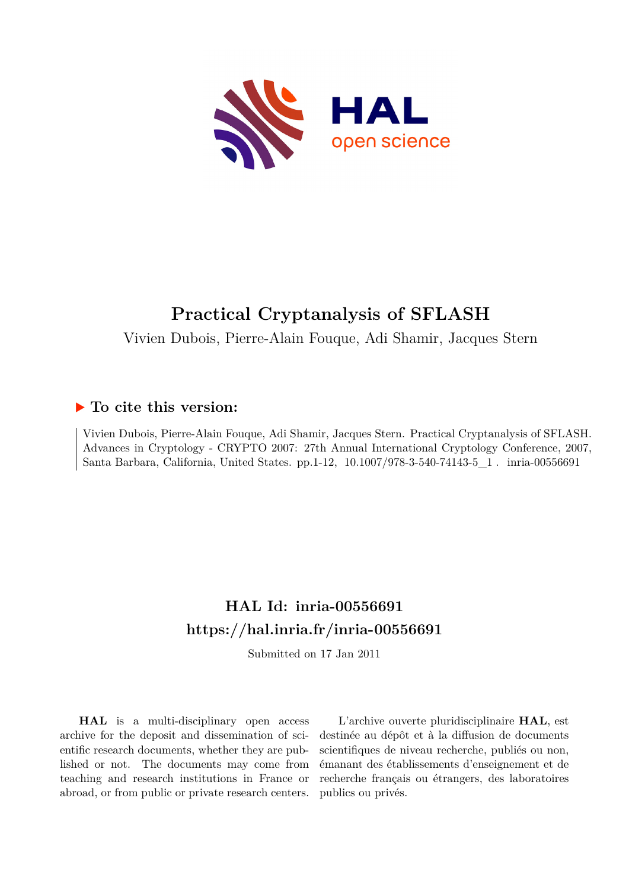

# **Practical Cryptanalysis of SFLASH**

Vivien Dubois, Pierre-Alain Fouque, Adi Shamir, Jacques Stern

## **To cite this version:**

Vivien Dubois, Pierre-Alain Fouque, Adi Shamir, Jacques Stern. Practical Cryptanalysis of SFLASH. Advances in Cryptology - CRYPTO 2007: 27th Annual International Cryptology Conference, 2007, Santa Barbara, California, United States. pp. 1-12,  $10.1007/978-3-540-74143-5\_1$ . inria-00556691

## **HAL Id: inria-00556691 <https://hal.inria.fr/inria-00556691>**

Submitted on 17 Jan 2011

**HAL** is a multi-disciplinary open access archive for the deposit and dissemination of scientific research documents, whether they are published or not. The documents may come from teaching and research institutions in France or abroad, or from public or private research centers.

L'archive ouverte pluridisciplinaire **HAL**, est destinée au dépôt et à la diffusion de documents scientifiques de niveau recherche, publiés ou non, émanant des établissements d'enseignement et de recherche français ou étrangers, des laboratoires publics ou privés.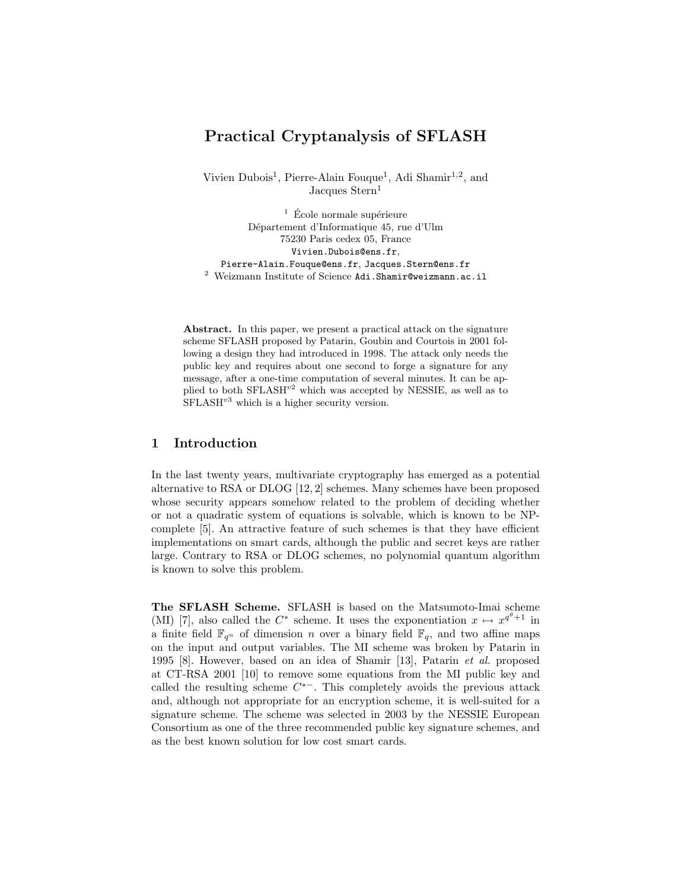## Practical Cryptanalysis of SFLASH

Vivien Dubois<sup>1</sup>, Pierre-Alain Fouque<sup>1</sup>, Adi Shamir<sup>1,2</sup>, and Jacques Stern<sup>1</sup>

 $\frac{1}{1}$  École normale supérieure Département d'Informatique 45, rue d'Ulm 75230 Paris cedex 05, France Vivien.Dubois@ens.fr, Pierre-Alain.Fouque@ens.fr, Jacques.Stern@ens.fr  $2$  Weizmann Institute of Science Adi.Shamir@weizmann.ac.il

Abstract. In this paper, we present a practical attack on the signature scheme SFLASH proposed by Patarin, Goubin and Courtois in 2001 following a design they had introduced in 1998. The attack only needs the public key and requires about one second to forge a signature for any message, after a one-time computation of several minutes. It can be applied to both  $SFLASH^{v2}$  which was accepted by NESSIE, as well as to  $SFLASH<sup>v3</sup>$  which is a higher security version.

### 1 Introduction

In the last twenty years, multivariate cryptography has emerged as a potential alternative to RSA or DLOG [12, 2] schemes. Many schemes have been proposed whose security appears somehow related to the problem of deciding whether or not a quadratic system of equations is solvable, which is known to be NPcomplete [5]. An attractive feature of such schemes is that they have efficient implementations on smart cards, although the public and secret keys are rather large. Contrary to RSA or DLOG schemes, no polynomial quantum algorithm is known to solve this problem.

The SFLASH Scheme. SFLASH is based on the Matsumoto-Imai scheme (MI) [7], also called the  $C^*$  scheme. It uses the exponentiation  $x \mapsto x^{q^{\theta}+1}$  in a finite field  $\mathbb{F}_{q^n}$  of dimension n over a binary field  $\mathbb{F}_q$ , and two affine maps on the input and output variables. The MI scheme was broken by Patarin in 1995 [8]. However, based on an idea of Shamir [13], Patarin et al. proposed at CT-RSA 2001 [10] to remove some equations from the MI public key and called the resulting scheme  $C^*$ -. This completely avoids the previous attack and, although not appropriate for an encryption scheme, it is well-suited for a signature scheme. The scheme was selected in 2003 by the NESSIE European Consortium as one of the three recommended public key signature schemes, and as the best known solution for low cost smart cards.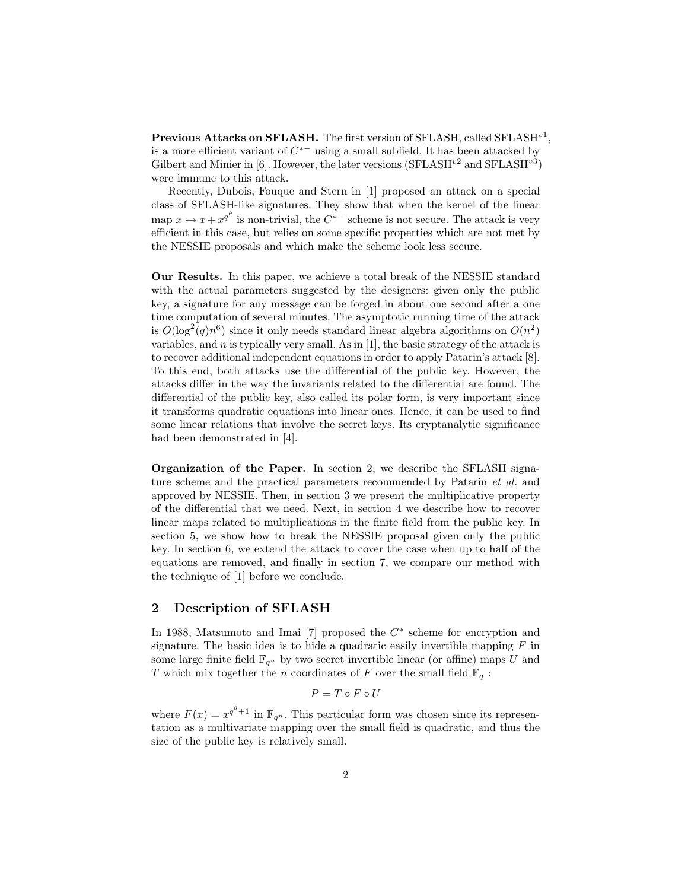Previous Attacks on SFLASH. The first version of SFLASH, called  $\text{SFLASH}^{v1}$ , is a more efficient variant of  $C^{*-}$  using a small subfield. It has been attacked by Gilbert and Minier in [6]. However, the later versions  $(SFLASH^{v2})$  and  $SFLASH^{v3})$ were immune to this attack.

Recently, Dubois, Fouque and Stern in [1] proposed an attack on a special class of SFLASH-like signatures. They show that when the kernel of the linear map  $x \mapsto x + x^{q^{\theta}}$  is non-trivial, the  $C^{*-}$  scheme is not secure. The attack is very efficient in this case, but relies on some specific properties which are not met by the NESSIE proposals and which make the scheme look less secure.

Our Results. In this paper, we achieve a total break of the NESSIE standard with the actual parameters suggested by the designers: given only the public key, a signature for any message can be forged in about one second after a one time computation of several minutes. The asymptotic running time of the attack is  $O(\log^2(q)n^6)$  since it only needs standard linear algebra algorithms on  $O(n^2)$ variables, and  $n$  is typically very small. As in [1], the basic strategy of the attack is to recover additional independent equations in order to apply Patarin's attack [8]. To this end, both attacks use the differential of the public key. However, the attacks differ in the way the invariants related to the differential are found. The differential of the public key, also called its polar form, is very important since it transforms quadratic equations into linear ones. Hence, it can be used to find some linear relations that involve the secret keys. Its cryptanalytic significance had been demonstrated in [4].

Organization of the Paper. In section 2, we describe the SFLASH signature scheme and the practical parameters recommended by Patarin *et al.* and approved by NESSIE. Then, in section 3 we present the multiplicative property of the differential that we need. Next, in section 4 we describe how to recover linear maps related to multiplications in the finite field from the public key. In section 5, we show how to break the NESSIE proposal given only the public key. In section 6, we extend the attack to cover the case when up to half of the equations are removed, and finally in section 7, we compare our method with the technique of [1] before we conclude.

#### 2 Description of SFLASH

In 1988, Matsumoto and Imai [7] proposed the  $C^*$  scheme for encryption and signature. The basic idea is to hide a quadratic easily invertible mapping  $F$  in some large finite field  $\mathbb{F}_{q^n}$  by two secret invertible linear (or affine) maps U and T which mix together the n coordinates of F over the small field  $\mathbb{F}_q$ :

$$
P=T\circ F\circ U
$$

where  $F(x) = x^{q^{\theta}+1}$  in  $\mathbb{F}_{q^n}$ . This particular form was chosen since its representation as a multivariate mapping over the small field is quadratic, and thus the size of the public key is relatively small.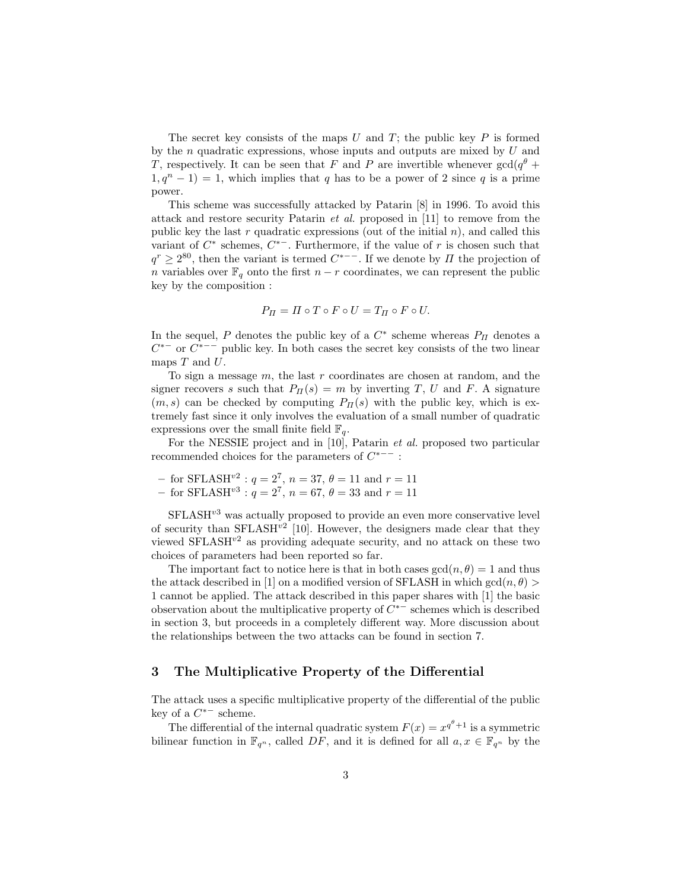The secret key consists of the maps U and T; the public key P is formed by the  $n$  quadratic expressions, whose inputs and outputs are mixed by  $U$  and T, respectively. It can be seen that F and P are invertible whenever  $gcd(q^{\theta} +$  $1, q^{n} - 1$  = 1, which implies that q has to be a power of 2 since q is a prime power.

This scheme was successfully attacked by Patarin [8] in 1996. To avoid this attack and restore security Patarin et al. proposed in [11] to remove from the public key the last r quadratic expressions (out of the initial  $n$ ), and called this variant of  $C^*$  schemes,  $C^{*-}$ . Furthermore, if the value of r is chosen such that  $q^r \geq 2^{80}$ , then the variant is termed  $C^{*--}$ . If we denote by  $\Pi$  the projection of n variables over  $\mathbb{F}_q$  onto the first  $n - r$  coordinates, we can represent the public key by the composition :

$$
P_{\Pi} = \Pi \circ T \circ F \circ U = T_{\Pi} \circ F \circ U.
$$

In the sequel, P denotes the public key of a  $C^*$  scheme whereas  $P_{II}$  denotes a  $C^{*-}$  or  $C^{*--}$  public key. In both cases the secret key consists of the two linear maps  $T$  and  $U$ .

To sign a message  $m$ , the last  $r$  coordinates are chosen at random, and the signer recovers s such that  $P_{\Pi}(s) = m$  by inverting T, U and F. A signature  $(m, s)$  can be checked by computing  $P_{\Pi}(s)$  with the public key, which is extremely fast since it only involves the evaluation of a small number of quadratic expressions over the small finite field  $\mathbb{F}_q$ .

For the NESSIE project and in [10], Patarin et al. proposed two particular recommended choices for the parameters of  $C^{*--}$ :

- for SFLASH<sup>v2</sup>:  $q = 2^7$ ,  $n = 37$ ,  $\theta = 11$  and  $r = 11$
- for SFLASH<sup>v3</sup> :  $q = 2^7$ ,  $n = 67$ ,  $\theta = 33$  and  $r = 11$

 $SFLASH<sup>v3</sup>$  was actually proposed to provide an even more conservative level of security than  $SFLASH^{v2}$  [10]. However, the designers made clear that they viewed  $\text{SFLASH}^{\nu^2}$  as providing adequate security, and no attack on these two choices of parameters had been reported so far.

The important fact to notice here is that in both cases  $gcd(n, \theta) = 1$  and thus the attack described in [1] on a modified version of SFLASH in which  $gcd(n, \theta)$ 1 cannot be applied. The attack described in this paper shares with [1] the basic observation about the multiplicative property of  $\tilde{C}^{*-}$  schemes which is described in section 3, but proceeds in a completely different way. More discussion about the relationships between the two attacks can be found in section 7.

#### 3 The Multiplicative Property of the Differential

The attack uses a specific multiplicative property of the differential of the public key of a  $C^{*-}$  scheme.

The differential of the internal quadratic system  $F(x) = x^{q^{\theta}+1}$  is a symmetric bilinear function in  $\mathbb{F}_{q^n}$ , called DF, and it is defined for all  $a, x \in \mathbb{F}_{q^n}$  by the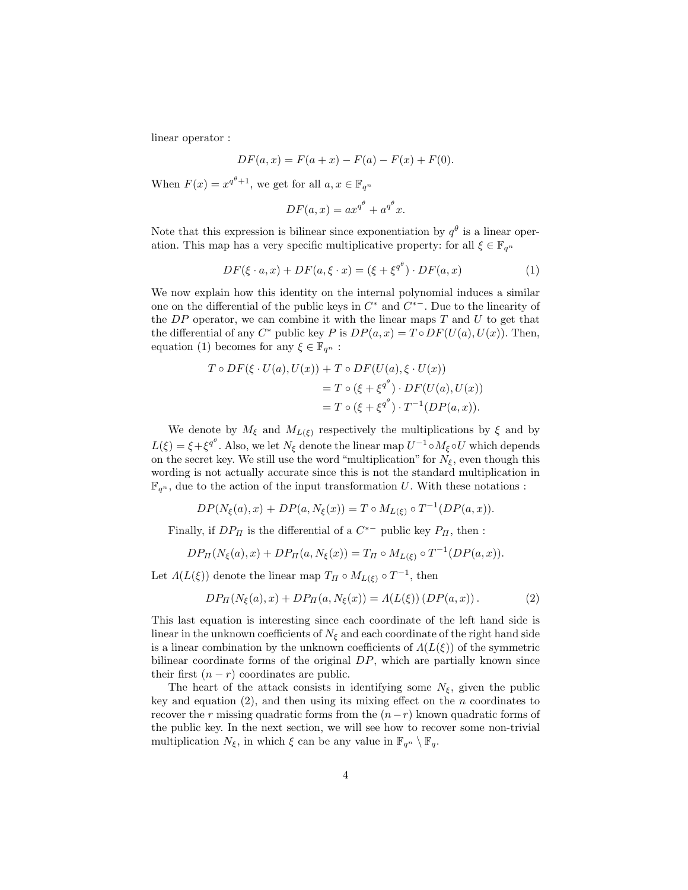linear operator :

$$
DF(a, x) = F(a + x) - F(a) - F(x) + F(0).
$$

When  $F(x) = x^{q^{\theta}+1}$ , we get for all  $a, x \in \mathbb{F}_{q^n}$ 

$$
DF(a, x) = ax^{q^{\theta}} + a^{q^{\theta}}x.
$$

Note that this expression is bilinear since exponentiation by  $q^{\theta}$  is a linear operation. This map has a very specific multiplicative property: for all  $\xi \in \mathbb{F}_{q^n}$ 

$$
DF(\xi \cdot a, x) + DF(a, \xi \cdot x) = (\xi + \xi^{q^{\theta}}) \cdot DF(a, x)
$$
\n(1)

We now explain how this identity on the internal polynomial induces a similar one on the differential of the public keys in  $C^*$  and  $\overline{C^{*-}}$ . Due to the linearity of the  $DP$  operator, we can combine it with the linear maps  $T$  and  $U$  to get that the differential of any  $C^*$  public key P is  $DP(a, x) = Top(\overline{U(a)}, \overline{U(x)})$ . Then, equation (1) becomes for any  $\xi \in \mathbb{F}_{q^n}$ :

$$
T \circ DF(\xi \cdot U(a), U(x)) + T \circ DF(U(a), \xi \cdot U(x))
$$
  
=  $T \circ (\xi + \xi^{q^{\theta}}) \cdot DF(U(a), U(x))$   
=  $T \circ (\xi + \xi^{q^{\theta}}) \cdot T^{-1}(DP(a, x)).$ 

We denote by  $M_{\xi}$  and  $M_{L(\xi)}$  respectively the multiplications by  $\xi$  and by  $L(\xi) = \xi + \xi^{q^{\theta}}$ . Also, we let  $N_{\xi}$  denote the linear map  $U^{-1} \circ M_{\xi} \circ U$  which depends on the secret key. We still use the word "multiplication" for  $N_{\xi}$ , even though this wording is not actually accurate since this is not the standard multiplication in  $\mathbb{F}_{q^n}$ , due to the action of the input transformation U. With these notations :

$$
DP(N_{\xi}(a), x) + DP(a, N_{\xi}(x)) = T \circ M_{L(\xi)} \circ T^{-1}(DP(a, x)).
$$

Finally, if  $DP_{\Pi}$  is the differential of a  $C^{*-}$  public key  $P_{\Pi}$ , then :

$$
DP_{\Pi}(N_{\xi}(a), x) + DP_{\Pi}(a, N_{\xi}(x)) = T_{\Pi} \circ M_{L(\xi)} \circ T^{-1}(DP(a, x)).
$$

Let  $\Lambda(L(\xi))$  denote the linear map  $T_{\Pi} \circ M_{L(\xi)} \circ T^{-1}$ , then

$$
DP_{\Pi}(N_{\xi}(a), x) + DP_{\Pi}(a, N_{\xi}(x)) = \Lambda(L(\xi)) (DP(a, x)).
$$
 (2)

This last equation is interesting since each coordinate of the left hand side is linear in the unknown coefficients of  $N_{\xi}$  and each coordinate of the right hand side is a linear combination by the unknown coefficients of  $\Lambda(L(\xi))$  of the symmetric bilinear coordinate forms of the original  $DP$ , which are partially known since their first  $(n - r)$  coordinates are public.

The heart of the attack consists in identifying some  $N_{\xi}$ , given the public key and equation  $(2)$ , and then using its mixing effect on the *n* coordinates to recover the r missing quadratic forms from the  $(n-r)$  known quadratic forms of the public key. In the next section, we will see how to recover some non-trivial multiplication  $N_{\xi}$ , in which  $\xi$  can be any value in  $\mathbb{F}_{q^n} \setminus \mathbb{F}_q$ .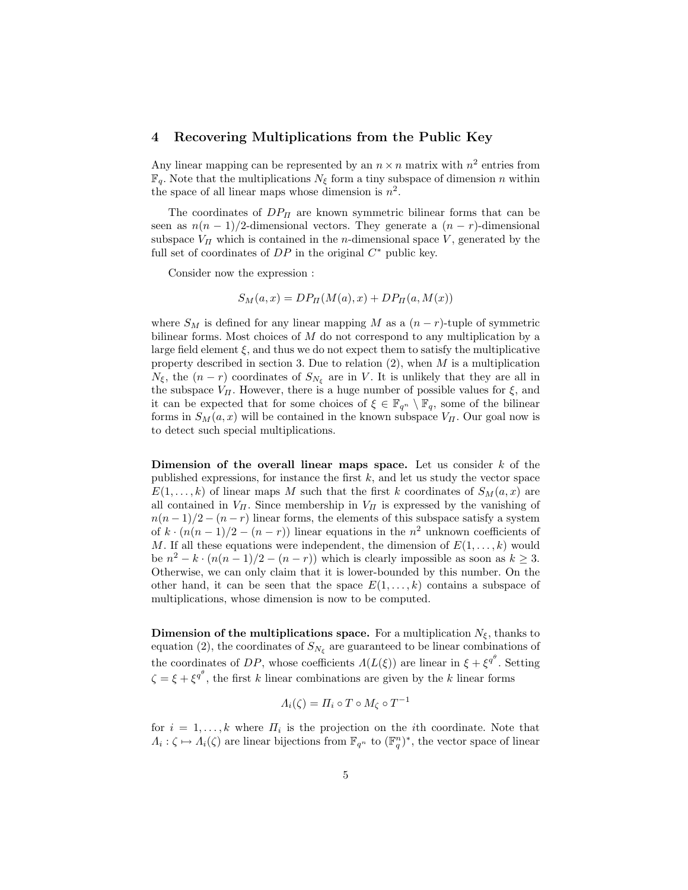## 4 Recovering Multiplications from the Public Key

Any linear mapping can be represented by an  $n \times n$  matrix with  $n^2$  entries from  $\mathbb{F}_q$ . Note that the multiplications  $N_{\xi}$  form a tiny subspace of dimension n within the space of all linear maps whose dimension is  $n^2$ .

The coordinates of  $DP_{\Pi}$  are known symmetric bilinear forms that can be seen as  $n(n-1)/2$ -dimensional vectors. They generate a  $(n-r)$ -dimensional subspace  $V_{\Pi}$  which is contained in the *n*-dimensional space V, generated by the full set of coordinates of  $DP$  in the original  $C^*$  public key.

Consider now the expression :

$$
S_M(a, x) = DP_{\Pi}(M(a), x) + DP_{\Pi}(a, M(x))
$$

where  $S_M$  is defined for any linear mapping M as a  $(n - r)$ -tuple of symmetric bilinear forms. Most choices of M do not correspond to any multiplication by a large field element  $\xi$ , and thus we do not expect them to satisfy the multiplicative property described in section 3. Due to relation  $(2)$ , when M is a multiplication  $N_{\xi}$ , the  $(n-r)$  coordinates of  $S_{N_{\xi}}$  are in V. It is unlikely that they are all in the subspace  $V_{II}$ . However, there is a huge number of possible values for  $\xi$ , and it can be expected that for some choices of  $\xi \in \mathbb{F}_{q^n} \setminus \mathbb{F}_q$ , some of the bilinear forms in  $S_M(a, x)$  will be contained in the known subspace  $V_{\Pi}$ . Our goal now is to detect such special multiplications.

Dimension of the overall linear maps space. Let us consider  $k$  of the published expressions, for instance the first  $k$ , and let us study the vector space  $E(1,\ldots,k)$  of linear maps M such that the first k coordinates of  $S_M(a,x)$  are all contained in  $V_{II}$ . Since membership in  $V_{II}$  is expressed by the vanishing of  $n(n-1)/2 - (n-r)$  linear forms, the elements of this subspace satisfy a system of  $k \cdot (n(n-1)/2 - (n-r))$  linear equations in the  $n^2$  unknown coefficients of M. If all these equations were independent, the dimension of  $E(1,\ldots,k)$  would be  $n^2 - k \cdot (n(n-1)/2 - (n-r))$  which is clearly impossible as soon as  $k \geq 3$ . Otherwise, we can only claim that it is lower-bounded by this number. On the other hand, it can be seen that the space  $E(1,\ldots,k)$  contains a subspace of multiplications, whose dimension is now to be computed.

**Dimension of the multiplications space.** For a multiplication  $N_{\xi}$ , thanks to equation (2), the coordinates of  $S_{N_{\xi}}$  are guaranteed to be linear combinations of the coordinates of DP, whose coefficients  $\Lambda(L(\xi))$  are linear in  $\xi + \xi^{q^{\theta}}$ . Setting  $\zeta = \xi + \xi^{q^{\theta}}$ , the first k linear combinations are given by the k linear forms

$$
\Lambda_i(\zeta) = \Pi_i \circ T \circ M_\zeta \circ T^{-1}
$$

for  $i = 1, \ldots, k$  where  $\Pi_i$  is the projection on the *i*th coordinate. Note that  $\Lambda_i: \zeta \mapsto \Lambda_i(\zeta)$  are linear bijections from  $\mathbb{F}_{q^n}$  to  $(\mathbb{F}_q^n)^*$ , the vector space of linear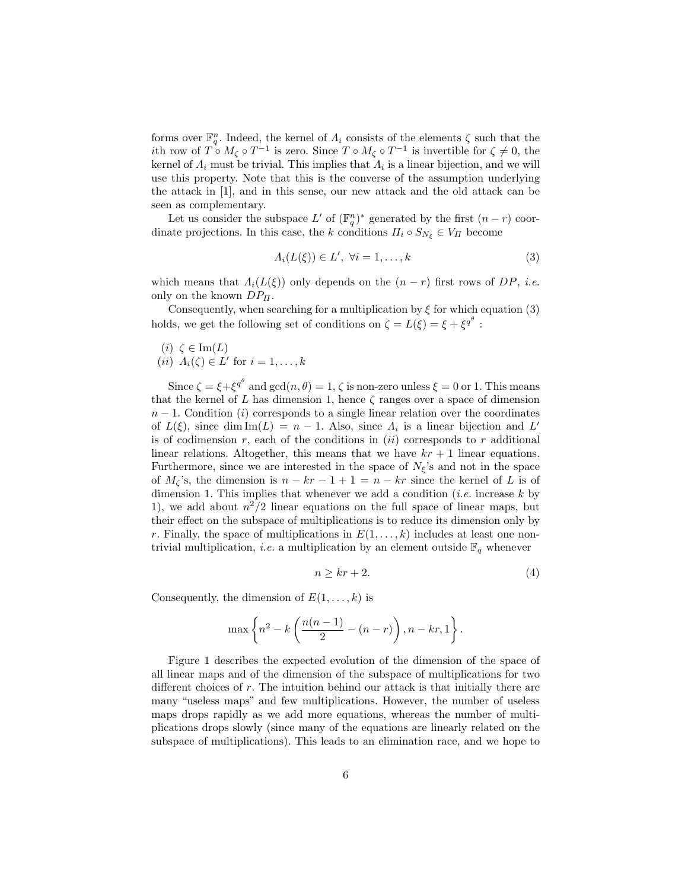forms over  $\mathbb{F}_q^n$ . Indeed, the kernel of  $\Lambda_i$  consists of the elements  $\zeta$  such that the *i*th row of  $T \circ M_\zeta \circ T^{-1}$  is zero. Since  $T \circ M_\zeta \circ T^{-1}$  is invertible for  $\zeta \neq 0$ , the kernel of  $\Lambda_i$  must be trivial. This implies that  $\Lambda_i$  is a linear bijection, and we will use this property. Note that this is the converse of the assumption underlying the attack in [1], and in this sense, our new attack and the old attack can be seen as complementary.

Let us consider the subspace  $L'$  of  $(\mathbb{F}_q^n)^*$  generated by the first  $(n-r)$  coordinate projections. In this case, the k conditions  $\Pi_i \circ S_{N_{\xi}} \in V_{\Pi}$  become

$$
A_i(L(\xi)) \in L', \ \forall i = 1, \dots, k \tag{3}
$$

which means that  $\Lambda_i(L(\xi))$  only depends on the  $(n-r)$  first rows of DP, i.e. only on the known  $DP_{\Pi}$ .

Consequently, when searching for a multiplication by  $\xi$  for which equation (3) holds, we get the following set of conditions on  $\zeta = L(\xi) = \xi + \xi^{q^{\theta}}$ :

(i)  $\zeta \in \text{Im}(L)$  $(ii)$   $A_i(\zeta) \in L'$  for  $i = 1, \ldots, k$ 

Since  $\zeta = \xi + \xi^{q^\theta}$  and  $\gcd(n, \theta) = 1, \zeta$  is non-zero unless  $\xi = 0$  or 1. This means that the kernel of L has dimension 1, hence  $\zeta$  ranges over a space of dimension  $n-1$ . Condition (i) corresponds to a single linear relation over the coordinates of  $L(\xi)$ , since  $\dim \mathrm{Im}(L) = n - 1$ . Also, since  $\Lambda_i$  is a linear bijection and L' is of codimension r, each of the conditions in  $(ii)$  corresponds to r additional linear relations. Altogether, this means that we have  $kr + 1$  linear equations. Furthermore, since we are interested in the space of  $N_{\xi}$ 's and not in the space of  $M_{\zeta}$ 's, the dimension is  $n - kr - 1 + 1 = n - kr$  since the kernel of L is of dimension 1. This implies that whenever we add a condition (*i.e.* increase  $k$  by 1), we add about  $n^2/2$  linear equations on the full space of linear maps, but their effect on the subspace of multiplications is to reduce its dimension only by r. Finally, the space of multiplications in  $E(1,\ldots,k)$  includes at least one nontrivial multiplication, *i.e.* a multiplication by an element outside  $\mathbb{F}_q$  whenever

$$
n \ge kr + 2. \tag{4}
$$

Consequently, the dimension of  $E(1, \ldots, k)$  is

$$
\max \left\{n^2 - k\left(\frac{n(n-1)}{2} - (n-r)\right), n - kr, 1\right\}.
$$

Figure 1 describes the expected evolution of the dimension of the space of all linear maps and of the dimension of the subspace of multiplications for two different choices of r. The intuition behind our attack is that initially there are many "useless maps" and few multiplications. However, the number of useless maps drops rapidly as we add more equations, whereas the number of multiplications drops slowly (since many of the equations are linearly related on the subspace of multiplications). This leads to an elimination race, and we hope to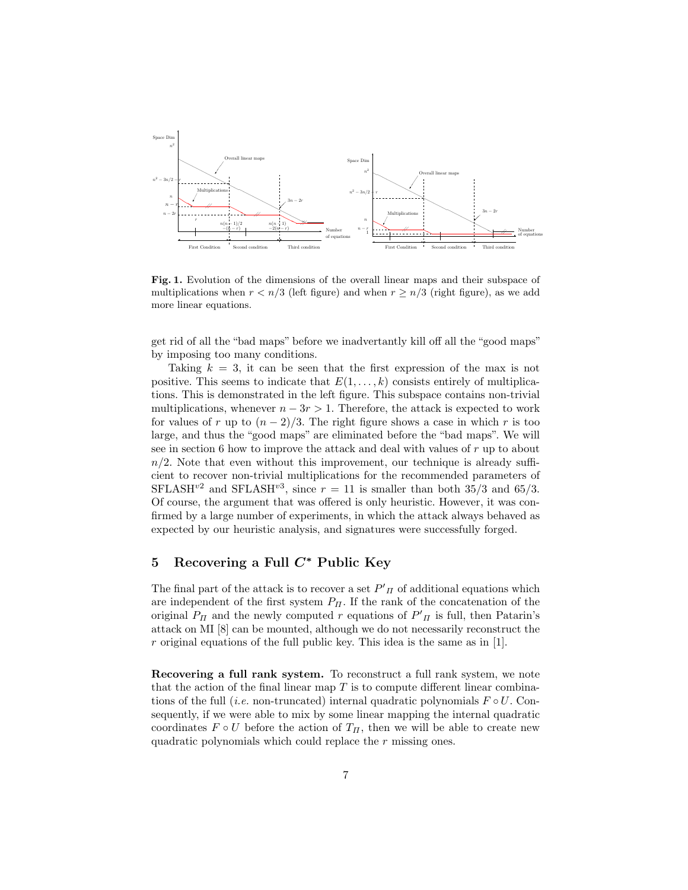

Fig. 1. Evolution of the dimensions of the overall linear maps and their subspace of multiplications when  $r < n/3$  (left figure) and when  $r \geq n/3$  (right figure), as we add more linear equations.

get rid of all the "bad maps" before we inadvertantly kill off all the "good maps" by imposing too many conditions.

Taking  $k = 3$ , it can be seen that the first expression of the max is not positive. This seems to indicate that  $E(1,\ldots,k)$  consists entirely of multiplications. This is demonstrated in the left figure. This subspace contains non-trivial multiplications, whenever  $n - 3r > 1$ . Therefore, the attack is expected to work for values of r up to  $(n-2)/3$ . The right figure shows a case in which r is too large, and thus the "good maps" are eliminated before the "bad maps". We will see in section 6 how to improve the attack and deal with values of  $r$  up to about  $n/2$ . Note that even without this improvement, our technique is already sufficient to recover non-trivial multiplications for the recommended parameters of SFLASH<sup>v2</sup> and SFLASH<sup>v3</sup>, since  $r = 11$  is smaller than both 35/3 and 65/3. Of course, the argument that was offered is only heuristic. However, it was confirmed by a large number of experiments, in which the attack always behaved as expected by our heuristic analysis, and signatures were successfully forged.

## 5 Recovering a Full  $C^*$  Public Key

The final part of the attack is to recover a set  $P'_{\Pi}$  of additional equations which are independent of the first system  $P_{\Pi}$ . If the rank of the concatenation of the original  $P_{\Pi}$  and the newly computed r equations of  $P'_{\Pi}$  is full, then Patarin's attack on MI [8] can be mounted, although we do not necessarily reconstruct the  $r$  original equations of the full public key. This idea is the same as in [1].

Recovering a full rank system. To reconstruct a full rank system, we note that the action of the final linear map  $T$  is to compute different linear combinations of the full (*i.e.* non-truncated) internal quadratic polynomials  $F \circ U$ . Consequently, if we were able to mix by some linear mapping the internal quadratic coordinates  $F \circ U$  before the action of  $T_H$ , then we will be able to create new quadratic polynomials which could replace the r missing ones.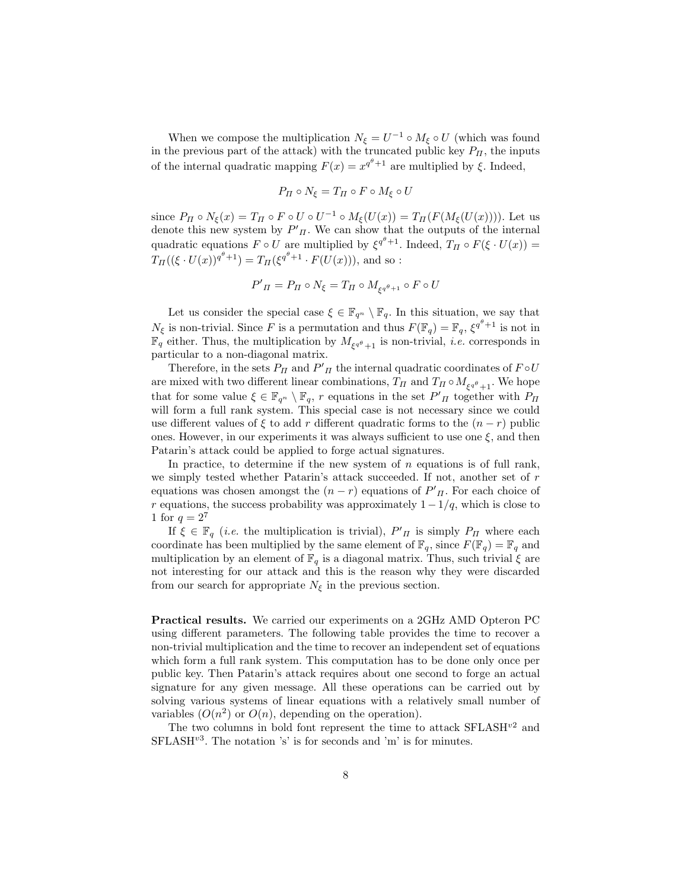When we compose the multiplication  $N_{\xi} = U^{-1} \circ M_{\xi} \circ U$  (which was found in the previous part of the attack) with the truncated public key  $P_{\Pi}$ , the inputs of the internal quadratic mapping  $F(x) = x^{q^{\theta}+1}$  are multiplied by  $\xi$ . Indeed,

$$
P_{\Pi} \circ N_{\xi} = T_{\Pi} \circ F \circ M_{\xi} \circ U
$$

since  $P_{\Pi} \circ N_{\xi}(x) = T_{\Pi} \circ F \circ U \circ U^{-1} \circ M_{\xi}(U(x)) = T_{\Pi}(F(M_{\xi}(U(x))))$ . Let us denote this new system by  $P'_{\Pi}$ . We can show that the outputs of the internal quadratic equations  $F \circ U$  are multiplied by  $\xi^{q^{\theta}+1}$ . Indeed,  $T_{\Pi} \circ F(\xi \cdot U(x)) =$  $T_{\Pi}((\xi \cdot U(x))^{q^{\theta}+1}) = T_{\Pi}(\xi^{q^{\theta}+1} \cdot F(U(x))),$  and so :

$$
P'_{\Pi} = P_{\Pi} \circ N_{\xi} = T_{\Pi} \circ M_{\xi^{q^{\theta}+1}} \circ F \circ U
$$

Let us consider the special case  $\xi \in \mathbb{F}_{q^n} \setminus \mathbb{F}_q$ . In this situation, we say that  $N_{\xi}$  is non-trivial. Since F is a permutation and thus  $F(\mathbb{F}_q) = \mathbb{F}_q$ ,  $\xi^{q^{\theta}+1}$  is not in  $\mathbb{F}_q$  either. Thus, the multiplication by  $M_{\xi q^\theta+1}$  is non-trivial, *i.e.* corresponds in particular to a non-diagonal matrix.

Therefore, in the sets  $P_{\Pi}$  and  $P'_{\Pi}$  the internal quadratic coordinates of  $F \circ U$ are mixed with two different linear combinations,  $T_{\Pi}$  and  $T_{\Pi} \circ M_{\xi^{q^{\theta}}+1}$ . We hope that for some value  $\xi \in \mathbb{F}_{q^n} \setminus \mathbb{F}_q$ , r equations in the set  $P'_{\Pi}$  together with  $P_{\Pi}$ will form a full rank system. This special case is not necessary since we could use different values of  $\xi$  to add r different quadratic forms to the  $(n - r)$  public ones. However, in our experiments it was always sufficient to use one  $\xi$ , and then Patarin's attack could be applied to forge actual signatures.

In practice, to determine if the new system of  $n$  equations is of full rank, we simply tested whether Patarin's attack succeeded. If not, another set of r equations was chosen amongst the  $(n - r)$  equations of  $P'_{\Pi}$ . For each choice of r equations, the success probability was approximately  $1-1/q$ , which is close to 1 for  $q = 2^7$ 

If  $\xi \in \mathbb{F}_q$  (*i.e.* the multiplication is trivial),  $P'_{\Pi}$  is simply  $P_{\Pi}$  where each coordinate has been multiplied by the same element of  $\mathbb{F}_q$ , since  $F(\mathbb{F}_q) = \mathbb{F}_q$  and multiplication by an element of  $\mathbb{F}_q$  is a diagonal matrix. Thus, such trivial  $\xi$  are not interesting for our attack and this is the reason why they were discarded from our search for appropriate  $N_{\xi}$  in the previous section.

Practical results. We carried our experiments on a 2GHz AMD Opteron PC using different parameters. The following table provides the time to recover a non-trivial multiplication and the time to recover an independent set of equations which form a full rank system. This computation has to be done only once per public key. Then Patarin's attack requires about one second to forge an actual signature for any given message. All these operations can be carried out by solving various systems of linear equations with a relatively small number of variables  $(O(n^2)$  or  $O(n)$ , depending on the operation).

The two columns in bold font represent the time to attack  ${\rm SFLASH^{v2}}$  and  $SFLASH<sup>v3</sup>$ . The notation 's' is for seconds and 'm' is for minutes.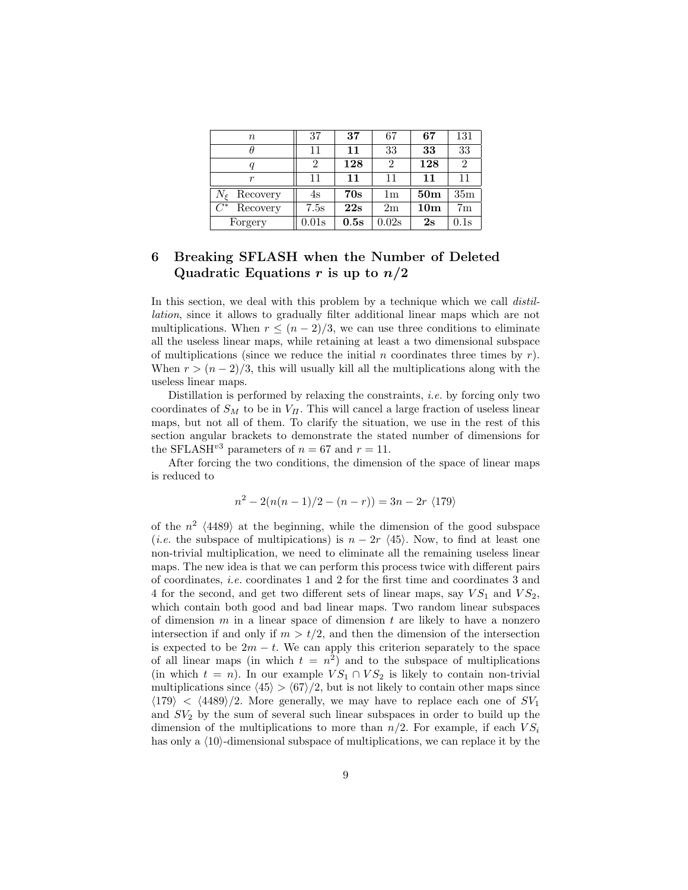| $\, n$                | 37    | 37   | 67             | 67              | 131             |
|-----------------------|-------|------|----------------|-----------------|-----------------|
|                       | 11    | 11   | 33             | 33              | 33              |
|                       | 2     | 128  | 2              | 128             | $\overline{2}$  |
| $\boldsymbol{r}$      | 11    | 11   | 11             | 11              | 11              |
| $N_{\xi}$<br>Recovery | 4s    | 70s  | 1 <sub>m</sub> | 50 <sub>m</sub> | 35 <sub>m</sub> |
| $C^*$<br>Recovery     | 7.5s  | 22s  | 2m             | 10 <sub>m</sub> | 7 <sub>m</sub>  |
| Forgery               | 0.01s | 0.5s | 0.02s          | 2s              | 0.1s            |

## 6 Breaking SFLASH when the Number of Deleted Quadratic Equations r is up to  $n/2$

In this section, we deal with this problem by a technique which we call *distil*lation, since it allows to gradually filter additional linear maps which are not multiplications. When  $r \leq (n-2)/3$ , we can use three conditions to eliminate all the useless linear maps, while retaining at least a two dimensional subspace of multiplications (since we reduce the initial n coordinates three times by  $r$ ). When  $r > (n-2)/3$ , this will usually kill all the multiplications along with the useless linear maps.

Distillation is performed by relaxing the constraints, i.e. by forcing only two coordinates of  $S_M$  to be in  $V_{\Pi}$ . This will cancel a large fraction of useless linear maps, but not all of them. To clarify the situation, we use in the rest of this section angular brackets to demonstrate the stated number of dimensions for the SFLASH<sup>v3</sup> parameters of  $n = 67$  and  $r = 11$ .

After forcing the two conditions, the dimension of the space of linear maps is reduced to

$$
n^{2} - 2(n(n - 1)/2 - (n - r)) = 3n - 2r \langle 179 \rangle
$$

of the  $n^2$   $\langle 4489 \rangle$  at the beginning, while the dimension of the good subspace (*i.e.* the subspace of multipications) is  $n - 2r \langle 45 \rangle$ . Now, to find at least one non-trivial multiplication, we need to eliminate all the remaining useless linear maps. The new idea is that we can perform this process twice with different pairs of coordinates, i.e. coordinates 1 and 2 for the first time and coordinates 3 and 4 for the second, and get two different sets of linear maps, say  $VS_1$  and  $VS_2$ , which contain both good and bad linear maps. Two random linear subspaces of dimension m in a linear space of dimension t are likely to have a nonzero intersection if and only if  $m > t/2$ , and then the dimension of the intersection is expected to be  $2m - t$ . We can apply this criterion separately to the space of all linear maps (in which  $t = n^2$ ) and to the subspace of multiplications (in which  $t = n$ ). In our example  $VS_1 \cap VS_2$  is likely to contain non-trivial multiplications since  $\langle 45 \rangle > \langle 67 \rangle /2$ , but is not likely to contain other maps since  $\langle 179 \rangle$  <  $\langle 4489 \rangle/2$ . More generally, we may have to replace each one of  $SV_1$ and  $SV_2$  by the sum of several such linear subspaces in order to build up the dimension of the multiplications to more than  $n/2$ . For example, if each  $VS_i$ has only a  $(10)$ -dimensional subspace of multiplications, we can replace it by the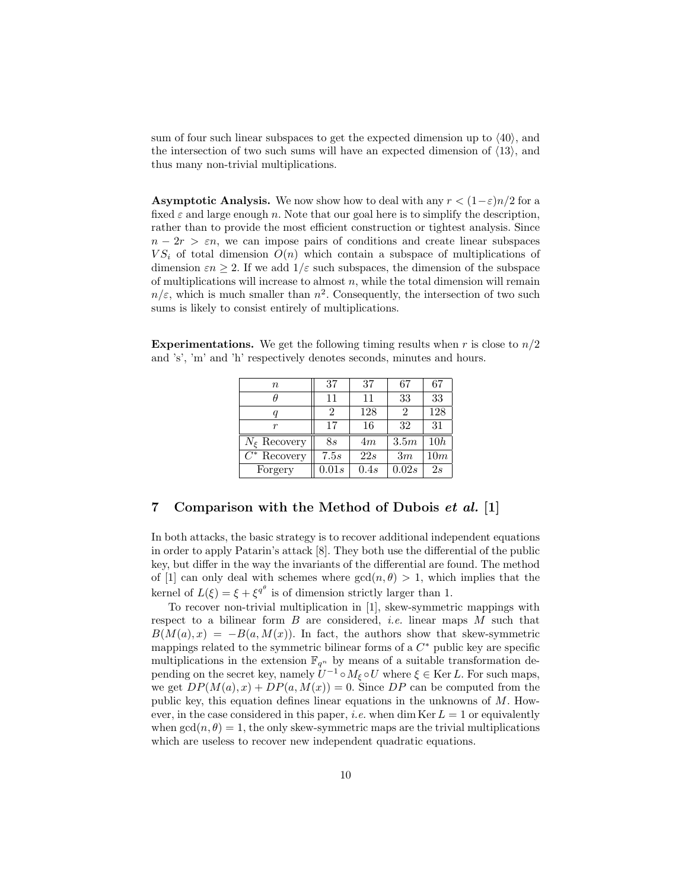sum of four such linear subspaces to get the expected dimension up to  $\langle 40 \rangle$ , and the intersection of two such sums will have an expected dimension of  $\langle 13 \rangle$ , and thus many non-trivial multiplications.

**Asymptotic Analysis.** We now show how to deal with any  $r < (1-\varepsilon)n/2$  for a fixed  $\varepsilon$  and large enough n. Note that our goal here is to simplify the description, rather than to provide the most efficient construction or tightest analysis. Since  $n - 2r > \varepsilon n$ , we can impose pairs of conditions and create linear subspaces  $VS_i$  of total dimension  $O(n)$  which contain a subspace of multiplications of dimension  $\varepsilon n \geq 2$ . If we add  $1/\varepsilon$  such subspaces, the dimension of the subspace of multiplications will increase to almost  $n$ , while the total dimension will remain  $n/\varepsilon$ , which is much smaller than  $n^2$ . Consequently, the intersection of two such sums is likely to consist entirely of multiplications.

**Experimentations.** We get the following timing results when r is close to  $n/2$ and 's', 'm' and 'h' respectively denotes seconds, minutes and hours.

| $\boldsymbol{n}$   | 37    | 37   | 67                          | 67  |
|--------------------|-------|------|-----------------------------|-----|
|                    | 11    | 11   | 33                          | 33  |
| q                  | 2     | 128  | $\mathcal{D}_{\mathcal{A}}$ | 128 |
| r                  | 17    | 16   | 32                          | 31  |
| $N_{\xi}$ Recovery | 8s    | 4m   | 3.5m                        | 10h |
| $C^*$ Recovery     | 7.5s  | 22s  | 3m                          | 10m |
| Forgery            | 0.01s | 0.4s | 0.02s                       | 2s  |

### 7 Comparison with the Method of Dubois et al. [1]

In both attacks, the basic strategy is to recover additional independent equations in order to apply Patarin's attack [8]. They both use the differential of the public key, but differ in the way the invariants of the differential are found. The method of [1] can only deal with schemes where  $gcd(n, \theta) > 1$ , which implies that the kernel of  $L(\xi) = \xi + \xi^{q^{\theta}}$  is of dimension strictly larger than 1.

To recover non-trivial multiplication in [1], skew-symmetric mappings with respect to a bilinear form  $B$  are considered, *i.e.* linear maps  $M$  such that  $B(M(a), x) = -B(a, M(x))$ . In fact, the authors show that skew-symmetric mappings related to the symmetric bilinear forms of a  $C^*$  public key are specific multiplications in the extension  $\mathbb{F}_{q^n}$  by means of a suitable transformation depending on the secret key, namely  $U^{-1} \circ M_{\xi} \circ U$  where  $\xi \in \text{Ker } L$ . For such maps, we get  $DP(M(a), x) + DP(a, M(x)) = 0$ . Since  $DP$  can be computed from the public key, this equation defines linear equations in the unknowns of M. However, in the case considered in this paper, *i.e.* when dim Ker  $L = 1$  or equivalently when  $gcd(n, \theta) = 1$ , the only skew-symmetric maps are the trivial multiplications which are useless to recover new independent quadratic equations.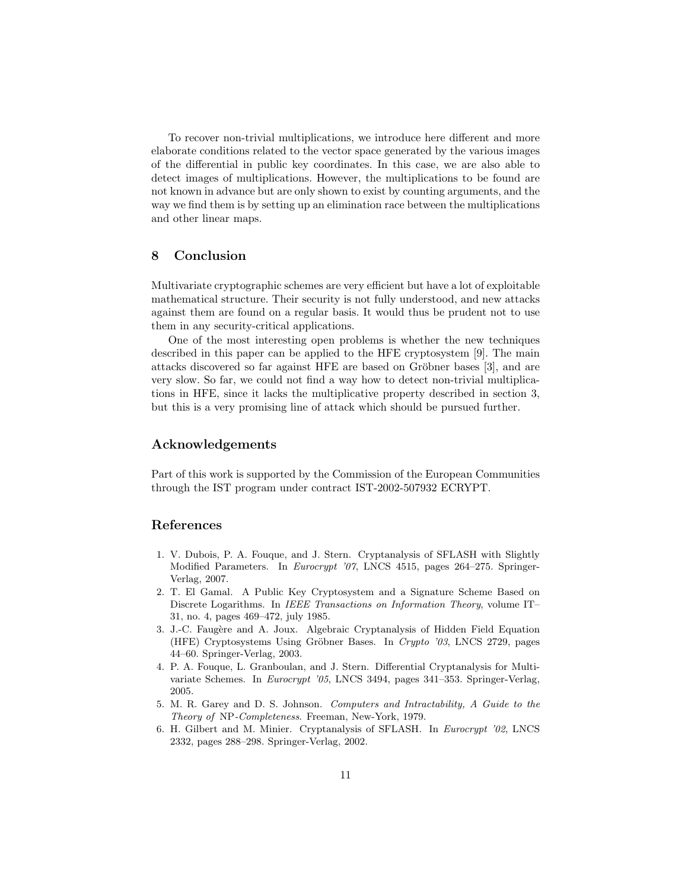To recover non-trivial multiplications, we introduce here different and more elaborate conditions related to the vector space generated by the various images of the differential in public key coordinates. In this case, we are also able to detect images of multiplications. However, the multiplications to be found are not known in advance but are only shown to exist by counting arguments, and the way we find them is by setting up an elimination race between the multiplications and other linear maps.

#### 8 Conclusion

Multivariate cryptographic schemes are very efficient but have a lot of exploitable mathematical structure. Their security is not fully understood, and new attacks against them are found on a regular basis. It would thus be prudent not to use them in any security-critical applications.

One of the most interesting open problems is whether the new techniques described in this paper can be applied to the HFE cryptosystem [9]. The main attacks discovered so far against HFE are based on Gröbner bases [3], and are very slow. So far, we could not find a way how to detect non-trivial multiplications in HFE, since it lacks the multiplicative property described in section 3, but this is a very promising line of attack which should be pursued further.

#### Acknowledgements

Part of this work is supported by the Commission of the European Communities through the IST program under contract IST-2002-507932 ECRYPT.

## References

- 1. V. Dubois, P. A. Fouque, and J. Stern. Cryptanalysis of SFLASH with Slightly Modified Parameters. In Eurocrypt '07, LNCS 4515, pages 264–275. Springer-Verlag, 2007.
- 2. T. El Gamal. A Public Key Cryptosystem and a Signature Scheme Based on Discrete Logarithms. In IEEE Transactions on Information Theory, volume IT– 31, no. 4, pages 469–472, july 1985.
- 3. J.-C. Faugère and A. Joux. Algebraic Cryptanalysis of Hidden Field Equation (HFE) Cryptosystems Using Gröbner Bases. In Crypto '03, LNCS 2729, pages 44–60. Springer-Verlag, 2003.
- 4. P. A. Fouque, L. Granboulan, and J. Stern. Differential Cryptanalysis for Multivariate Schemes. In Eurocrypt '05, LNCS 3494, pages 341–353. Springer-Verlag, 2005.
- 5. M. R. Garey and D. S. Johnson. Computers and Intractability, A Guide to the Theory of NP-Completeness. Freeman, New-York, 1979.
- 6. H. Gilbert and M. Minier. Cryptanalysis of SFLASH. In Eurocrypt '02, LNCS 2332, pages 288–298. Springer-Verlag, 2002.